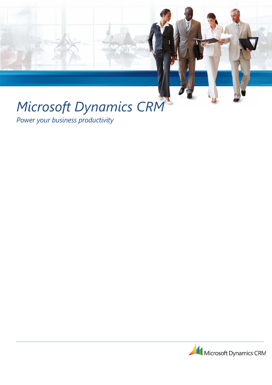# Microsoft Dynamics CRM

Power your business productivity

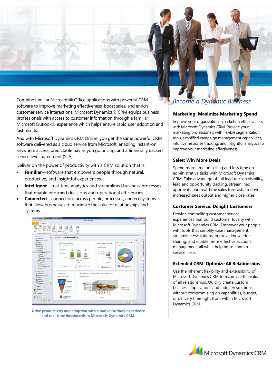Combine familiar Microsoft® Office applications with powerful CRM software to improve marketing effectiveness, boost sales, and enrich customer service interactions. Microsoft Dynamics® CRM equips business professionals with access to customer information through a familiar Microsoft Outlook® experience which helps ensure rapid user adoption and fast results.

And with Microsoft Dynamics CRM Online, you get the same powerful CRM software delivered as a cloud service from Microsoft, enabling instant-on anywhere access, predictable pay as you go pricing, and a financially backed service level agreement (SLA).

Deliver on the power of productivity with a CRM solution that is:

- Familiar—software that empowers people through natural, productive, and insightful experiences.
- Intelligent—real-time analytics and streamlined business processes that enable informed decisions and operational efficiencies.
- Connected—connections across people, processes, and ecosystems that allow businesses to maximize the value of relationships and systems.



Drive productivity and adoption with a native Outlook experience and real-time dashboards in Microsoft Dynamics CRM.

# Become a Dynamic Business

### Marketing: Maximize Marketing Spend

Improve your organization's marketing effectiveness with Microsoft Dynamics CRM. Provide your marketing professionals with flexible segmentation tools, simplified campaign management capabilities, intuitive response tracking, and insightful analytics to improve your marketing effectiveness.

## Sales: Win More Deals

Spend more time on selling and less time on administrative tasks with Microsoft Dynamics CRM. Take advantage of full lead to cash visibility, lead and opportunity tracking, streamlined approvals, and real-time sales forecasts to drive increased sales output and higher close rates.

### Customer Service: Delight Customers

Provide compelling customer service experiences that build customer loyalty with Microsoft Dynamics CRM. Empower your people with tools that simplify case management, streamline escalations, improve knowledge sharing, and enable more effective account management, all while helping to contain service costs.

# Extended CRM: Optimize All Relationships

Use the inherent flexibility and extensibility of Microsoft Dynamics CRM to maximize the value of all relationships. Quickly create custom business applications and industry solutions without compromising on capabilities, budget, or delivery time right from within Microsoft Dynamics CRM.